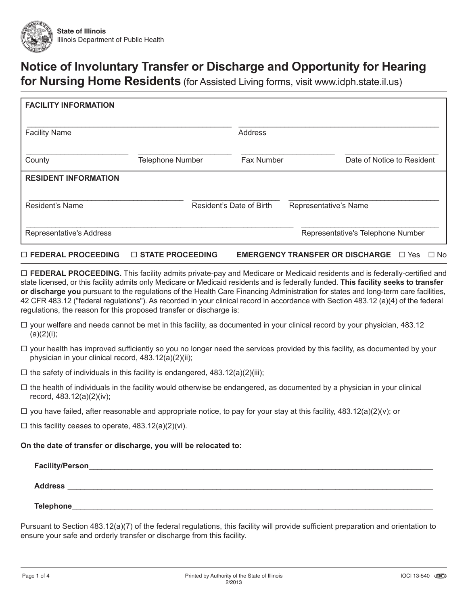

# **Notice of Involuntary Transfer or Discharge and Opportunity for Hearing**

**for Nursing Home Residents** (for Assisted Living forms, visit www.idph.state.il.us)

| <b>FACILITY INFORMATION</b> |                         |                          |            |                       |                                   |
|-----------------------------|-------------------------|--------------------------|------------|-----------------------|-----------------------------------|
| <b>Facility Name</b>        |                         |                          | Address    |                       |                                   |
| County                      | <b>Telephone Number</b> |                          | Fax Number |                       | Date of Notice to Resident        |
| <b>RESIDENT INFORMATION</b> |                         |                          |            |                       |                                   |
| Resident's Name             |                         | Resident's Date of Birth |            | Representative's Name |                                   |
| Representative's Address    |                         |                          |            |                       | Representative's Telephone Number |

### **FEDERAL PROCEEDING STATE PROCEEDING EMERGENCY TRANSFER OR DISCHARGE** Yes No

 **FEDERAL PROCEEDING.** This facility admits private-pay and Medicare or Medicaid residents and is federally-certified and state licensed, or this facility admits only Medicare or Medicaid residents and is federally funded. **This facility seeks to transfer or discharge you** pursuant to the regulations of the Health Care Financing Administration for states and long-term care facilities, 42 CFR 483.12 ("federal regulations"). As recorded in your clinical record in accordance with Section 483.12 (a)(4) of the federal regulations, the reason for this proposed transfer or discharge is:

- $\Box$  your welfare and needs cannot be met in this facility, as documented in your clinical record by your physician, 483.12  $(a)(2)(i);$
- $\Box$  your health has improved sufficiently so you no longer need the services provided by this facility, as documented by your physician in your clinical record, 483.12(a)(2)(ii);
- $\Box$  the safety of individuals in this facility is endangered, 483.12(a)(2)(iii);
- $\Box$  the health of individuals in the facility would otherwise be endangered, as documented by a physician in your clinical record, 483.12(a)(2)(iv);
- $\Box$  you have failed, after reasonable and appropriate notice, to pay for your stay at this facility, 483.12(a)(2)(v); or

 $\Box$  this facility ceases to operate, 483.12(a)(2)(vi).

#### **On the date of transfer or discharge, you will be relocated to:**

| Facility/Person_ |  |  |
|------------------|--|--|
| <b>Address</b>   |  |  |
| Telephone        |  |  |

Pursuant to Section 483.12(a)(7) of the federal regulations, this facility will provide sufficient preparation and orientation to ensure your safe and orderly transfer or discharge from this facility.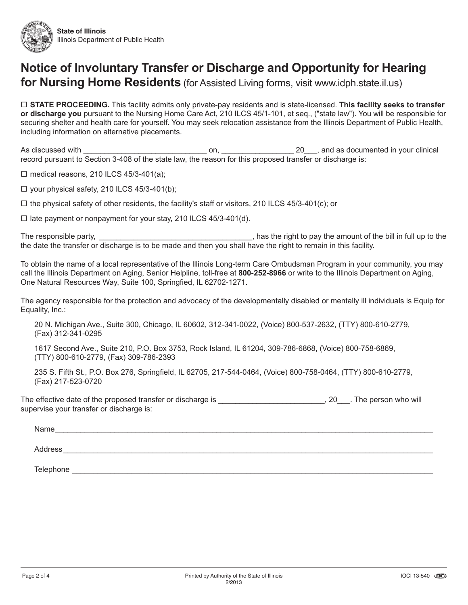

## **Notice of Involuntary Transfer or Discharge and Opportunity for Hearing for Nursing Home Residents** (for Assisted Living forms, visit www.idph.state.il.us)

 **STATE PROCEEDING.** This facility admits only private-pay residents and is state-licensed. **This facility seeks to transfer or discharge you** pursuant to the Nursing Home Care Act, 210 ILCS 45/1-101, et seq., ("state law"). You will be responsible for securing shelter and health care for yourself. You may seek relocation assistance from the Illinois Department of Public Health, including information on alternative placements.

As discussed with \_\_\_\_\_\_\_\_\_\_\_\_\_\_\_\_\_\_\_\_\_\_\_\_\_\_\_\_\_ on, \_\_\_\_\_\_\_\_\_\_\_\_\_\_\_\_\_ 20\_\_\_, and as documented in your clinical record pursuant to Section 3-408 of the state law, the reason for this proposed transfer or discharge is:

 $\Box$  medical reasons, 210 ILCS 45/3-401(a);

 $\Box$  your physical safety, 210 ILCS 45/3-401(b);

 $\Box$  the physical safety of other residents, the facility's staff or visitors, 210 ILCS 45/3-401(c); or

 $\Box$  late payment or nonpayment for your stay, 210 ILCS 45/3-401(d).

The responsible party, the state of the state of the pay the amount of the bill in full up to the the date the transfer or discharge is to be made and then you shall have the right to remain in this facility.

To obtain the name of a local representative of the Illinois Long-term Care Ombudsman Program in your community, you may call the Illinois Department on Aging, Senior Helpline, toll-free at **800-252-8966** or write to the Illinois Department on Aging, One Natural Resources Way, Suite 100, Springfied, IL 62702-1271.

The agency responsible for the protection and advocacy of the developmentally disabled or mentally ill individuals is Equip for Equality, Inc.:

20 N. Michigan Ave., Suite 300, Chicago, IL 60602, 312-341-0022, (Voice) 800-537-2632, (TTY) 800-610-2779, (Fax) 312-341-0295

1617 Second Ave., Suite 210, P.O. Box 3753, Rock Island, IL 61204, 309-786-6868, (Voice) 800-758-6869, (TTY) 800-610-2779, (Fax) 309-786-2393

235 S. Fifth St., P.O. Box 276, Springfield, IL 62705, 217-544-0464, (Voice) 800-758-0464, (TTY) 800-610-2779, (Fax) 217-523-0720

The effective date of the proposed transfer or discharge is \_\_\_\_\_\_\_\_\_\_\_\_\_\_\_\_\_\_\_\_\_\_, 20\_\_\_. The person who will supervise your transfer or discharge is:

 $\mathsf{Name}\_\_$ 

Address **and a set of the set of the set of the set of the set of the set of the set of the set of the set of the set of the set of the set of the set of the set of the set of the set of the set of the set of the set of th** 

Telephone \_\_\_\_\_\_\_\_\_\_\_\_\_\_\_\_\_\_\_\_\_\_\_\_\_\_\_\_\_\_\_\_\_\_\_\_\_\_\_\_\_\_\_\_\_\_\_\_\_\_\_\_\_\_\_\_\_\_\_\_\_\_\_\_\_\_\_\_\_\_\_\_\_\_\_\_\_\_\_\_\_\_\_\_\_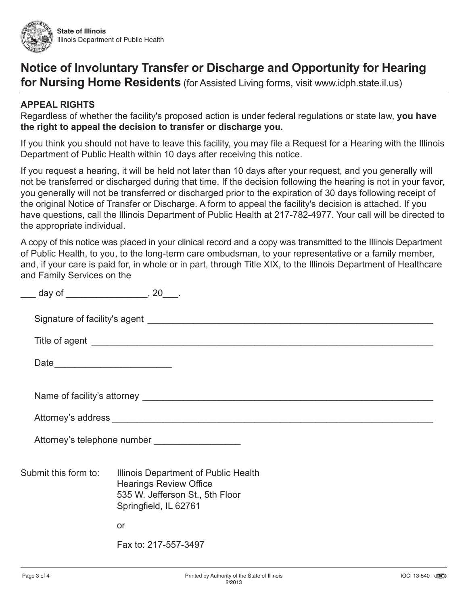

# **Notice of Involuntary Transfer or Discharge and Opportunity for Hearing**

**for Nursing Home Residents** (for Assisted Living forms, visit www.idph.state.il.us)

## **APPEAL RIGHTS**

Regardless of whether the facility's proposed action is under federal regulations or state law, **you have the right to appeal the decision to transfer or discharge you.**

If you think you should not have to leave this facility, you may file a Request for a Hearing with the Illinois Department of Public Health within 10 days after receiving this notice.

If you request a hearing, it will be held not later than 10 days after your request, and you generally will not be transferred or discharged during that time. If the decision following the hearing is not in your favor, you generally will not be transferred or discharged prior to the expiration of 30 days following receipt of the original Notice of Transfer or Discharge. A form to appeal the facility's decision is attached. If you have questions, call the Illinois Department of Public Health at 217-782-4977. Your call will be directed to the appropriate individual.

A copy of this notice was placed in your clinical record and a copy was transmitted to the Illinois Department of Public Health, to you, to the long-term care ombudsman, to your representative or a family member, and, if your care is paid for, in whole or in part, through Title XIX, to the Illinois Department of Healthcare and Family Services on the

|                      | Attorney's telephone number ___________________                                                                                   |
|----------------------|-----------------------------------------------------------------------------------------------------------------------------------|
| Submit this form to: | Illinois Department of Public Health<br><b>Hearings Review Office</b><br>535 W. Jefferson St., 5th Floor<br>Springfield, IL 62761 |
|                      | or                                                                                                                                |
|                      | Fax to: 217-557-3497                                                                                                              |